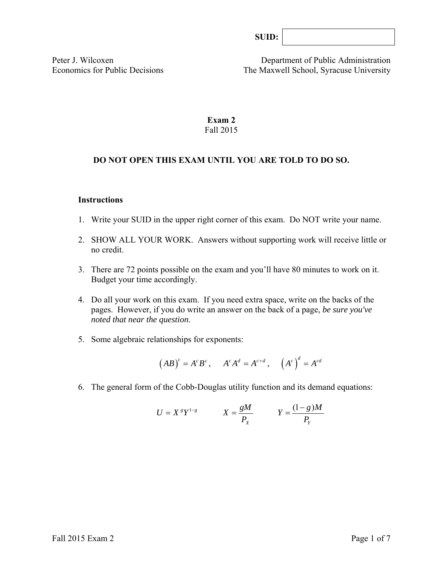| SUB: |  |
|------|--|
|------|--|

Peter J. Wilcoxen Department of Public Administration Economics for Public Decisions The Maxwell School, Syracuse University

# **Exam 2**  Fall 2015

#### **DO NOT OPEN THIS EXAM UNTIL YOU ARE TOLD TO DO SO.**

#### **Instructions**

- 1. Write your SUID in the upper right corner of this exam. Do NOT write your name.
- 2. SHOW ALL YOUR WORK. Answers without supporting work will receive little or no credit.
- 3. There are 72 points possible on the exam and you'll have 80 minutes to work on it. Budget your time accordingly.
- 4. Do all your work on this exam. If you need extra space, write on the backs of the pages. However, if you do write an answer on the back of a page, *be sure you've noted that near the question*.
- 5. Some algebraic relationships for exponents:

$$
(AB)^c = A^c B^c
$$
,  $A^c A^d = A^{c+d}$ ,  $(A^c)^d = A^{cd}$ 

6. The general form of the Cobb-Douglas utility function and its demand equations:

$$
U = X^s Y^{1-s} \qquad X = \frac{gM}{P_X} \qquad Y = \frac{(1-g)M}{P_Y}
$$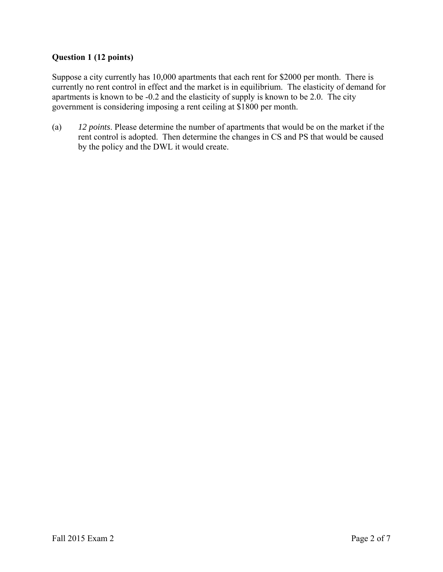# **Question 1 (12 points)**

Suppose a city currently has 10,000 apartments that each rent for \$2000 per month. There is currently no rent control in effect and the market is in equilibrium. The elasticity of demand for apartments is known to be -0.2 and the elasticity of supply is known to be 2.0. The city government is considering imposing a rent ceiling at \$1800 per month.

(a) *12 points*. Please determine the number of apartments that would be on the market if the rent control is adopted. Then determine the changes in CS and PS that would be caused by the policy and the DWL it would create.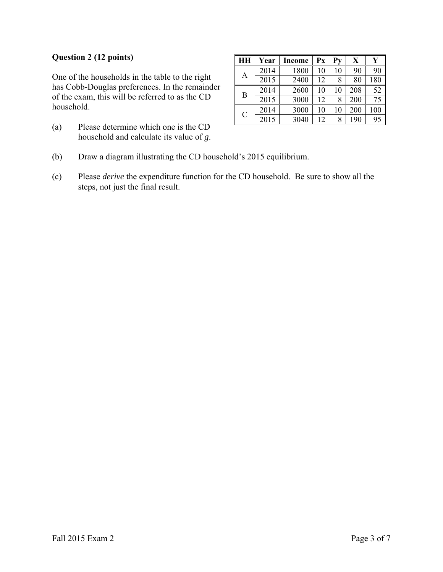# **Question 2 (12 points)**

One of the households in the table to the right has Cobb-Douglas preferences. In the remainder of the exam, this will be referred to as the CD household.

(a) Please determine which one is the CD household and calculate its value of *g*.

| <b>HH</b>     | Year | <b>Income</b> | Px | Pv | X   |     |
|---------------|------|---------------|----|----|-----|-----|
| А             | 2014 | 1800          | 10 | 10 | 90  | 90  |
|               | 2015 | 2400          | 12 | 8  | 80  | 180 |
| B             | 2014 | 2600          | 10 | 10 | 208 | 52  |
|               | 2015 | 3000          | 12 | 8  | 200 | 75  |
| $\mathcal{C}$ | 2014 | 3000          | 10 | 10 | 200 | 100 |
|               | 2015 | 3040          | 12 | 8  | 190 | 95  |

- (b) Draw a diagram illustrating the CD household's 2015 equilibrium.
- (c) Please *derive* the expenditure function for the CD household. Be sure to show all the steps, not just the final result.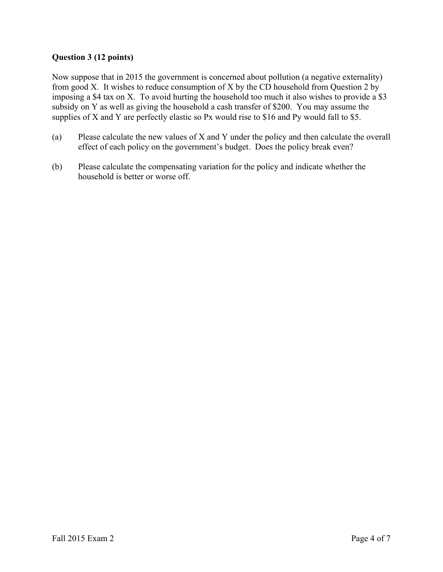# **Question 3 (12 points)**

Now suppose that in 2015 the government is concerned about pollution (a negative externality) from good X. It wishes to reduce consumption of X by the CD household from Question 2 by imposing a \$4 tax on X. To avoid hurting the household too much it also wishes to provide a \$3 subsidy on Y as well as giving the household a cash transfer of \$200. You may assume the supplies of X and Y are perfectly elastic so Px would rise to \$16 and Py would fall to \$5.

- (a) Please calculate the new values of X and Y under the policy and then calculate the overall effect of each policy on the government's budget. Does the policy break even?
- (b) Please calculate the compensating variation for the policy and indicate whether the household is better or worse off.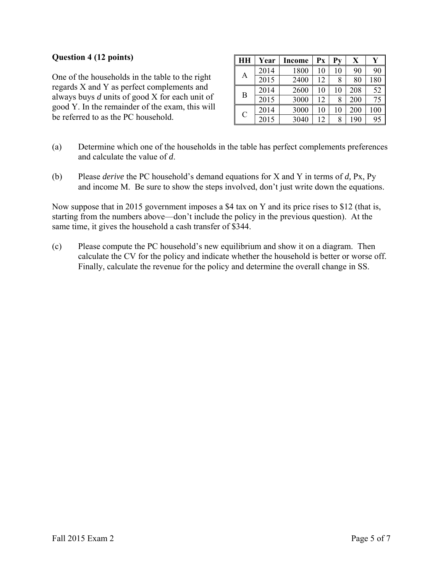#### **Question 4 (12 points)**

One of the households in the table to the right regards X and Y as perfect complements and always buys *d* units of good X for each unit of good Y. In the remainder of the exam, this will be referred to as the PC household.

| HН            | Year | <b>Income</b> | Рx | $P_{V}$ | X   | Y   |
|---------------|------|---------------|----|---------|-----|-----|
| А             | 2014 | 1800          | 10 | 10      | 90  | 90  |
|               | 2015 | 2400          | 12 | 8       | 80  | 180 |
| B             | 2014 | 2600          | 10 | 10      | 208 | 52  |
|               | 2015 | 3000          | 12 | 8       | 200 | 75  |
| $\mathcal{C}$ | 2014 | 3000          | 10 | 10      | 200 | 100 |
|               | 2015 | 3040          | 12 | 8       | 190 | 95  |

- (a) Determine which one of the households in the table has perfect complements preferences and calculate the value of *d*.
- (b) Please *derive* the PC household's demand equations for X and Y in terms of *d,* Px, Py and income M. Be sure to show the steps involved, don't just write down the equations.

Now suppose that in 2015 government imposes a \$4 tax on Y and its price rises to \$12 (that is, starting from the numbers above—don't include the policy in the previous question). At the same time, it gives the household a cash transfer of \$344.

(c) Please compute the PC household's new equilibrium and show it on a diagram. Then calculate the CV for the policy and indicate whether the household is better or worse off. Finally, calculate the revenue for the policy and determine the overall change in SS.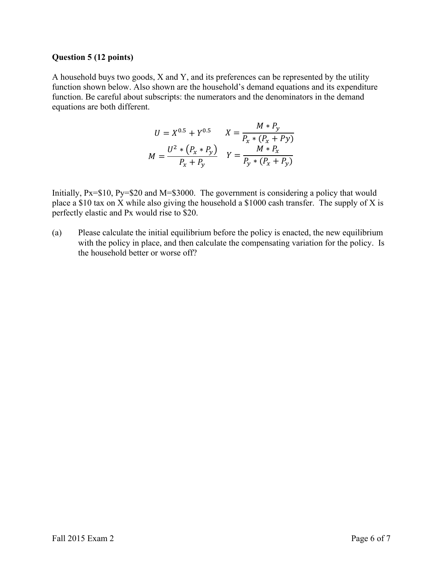#### **Question 5 (12 points)**

A household buys two goods, X and Y, and its preferences can be represented by the utility function shown below. Also shown are the household's demand equations and its expenditure function. Be careful about subscripts: the numerators and the denominators in the demand equations are both different.

$$
U = X^{0.5} + Y^{0.5} \t X = \frac{M * P_y}{P_x * (P_x + P_y)}
$$
  

$$
M = \frac{U^2 * (P_x * P_y)}{P_x + P_y} \t Y = \frac{M * P_x}{P_y * (P_x + P_y)}
$$

Initially, Px=\$10, Py=\$20 and M=\$3000. The government is considering a policy that would place a \$10 tax on X while also giving the household a \$1000 cash transfer. The supply of X is perfectly elastic and Px would rise to \$20.

(a) Please calculate the initial equilibrium before the policy is enacted, the new equilibrium with the policy in place, and then calculate the compensating variation for the policy. Is the household better or worse off?